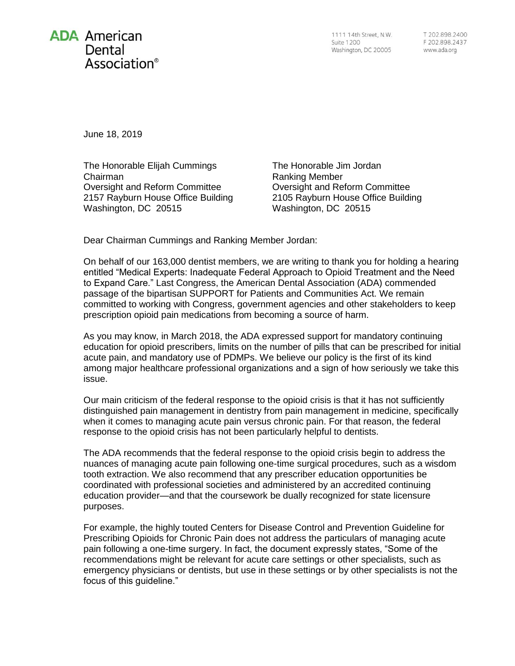

1111 14th Street, N.W. **Suite 1200** Washington, DC 20005

June 18, 2019

The Honorable Elijah Cummings Chairman Oversight and Reform Committee 2157 Rayburn House Office Building Washington, DC 20515

The Honorable Jim Jordan Ranking Member Oversight and Reform Committee 2105 Rayburn House Office Building Washington, DC 20515

Dear Chairman Cummings and Ranking Member Jordan:

On behalf of our 163,000 dentist members, we are writing to thank you for holding a hearing entitled "Medical Experts: Inadequate Federal Approach to Opioid Treatment and the Need to Expand Care." Last Congress, the American Dental Association (ADA) commended passage of the bipartisan SUPPORT for Patients and Communities Act. We remain committed to working with Congress, government agencies and other stakeholders to keep prescription opioid pain medications from becoming a source of harm.

As you may know, in March 2018, the ADA expressed support for mandatory continuing education for opioid prescribers, limits on the number of pills that can be prescribed for initial acute pain, and mandatory use of PDMPs. We believe our policy is the first of its kind among major healthcare professional organizations and a sign of how seriously we take this issue.

Our main criticism of the federal response to the opioid crisis is that it has not sufficiently distinguished pain management in dentistry from pain management in medicine, specifically when it comes to managing acute pain versus chronic pain. For that reason, the federal response to the opioid crisis has not been particularly helpful to dentists.

The ADA recommends that the federal response to the opioid crisis begin to address the nuances of managing acute pain following one-time surgical procedures, such as a wisdom tooth extraction. We also recommend that any prescriber education opportunities be coordinated with professional societies and administered by an accredited continuing education provider—and that the coursework be dually recognized for state licensure purposes.

For example, the highly touted Centers for Disease Control and Prevention Guideline for Prescribing Opioids for Chronic Pain does not address the particulars of managing acute pain following a one-time surgery. In fact, the document expressly states, "Some of the recommendations might be relevant for acute care settings or other specialists, such as emergency physicians or dentists, but use in these settings or by other specialists is not the focus of this guideline."